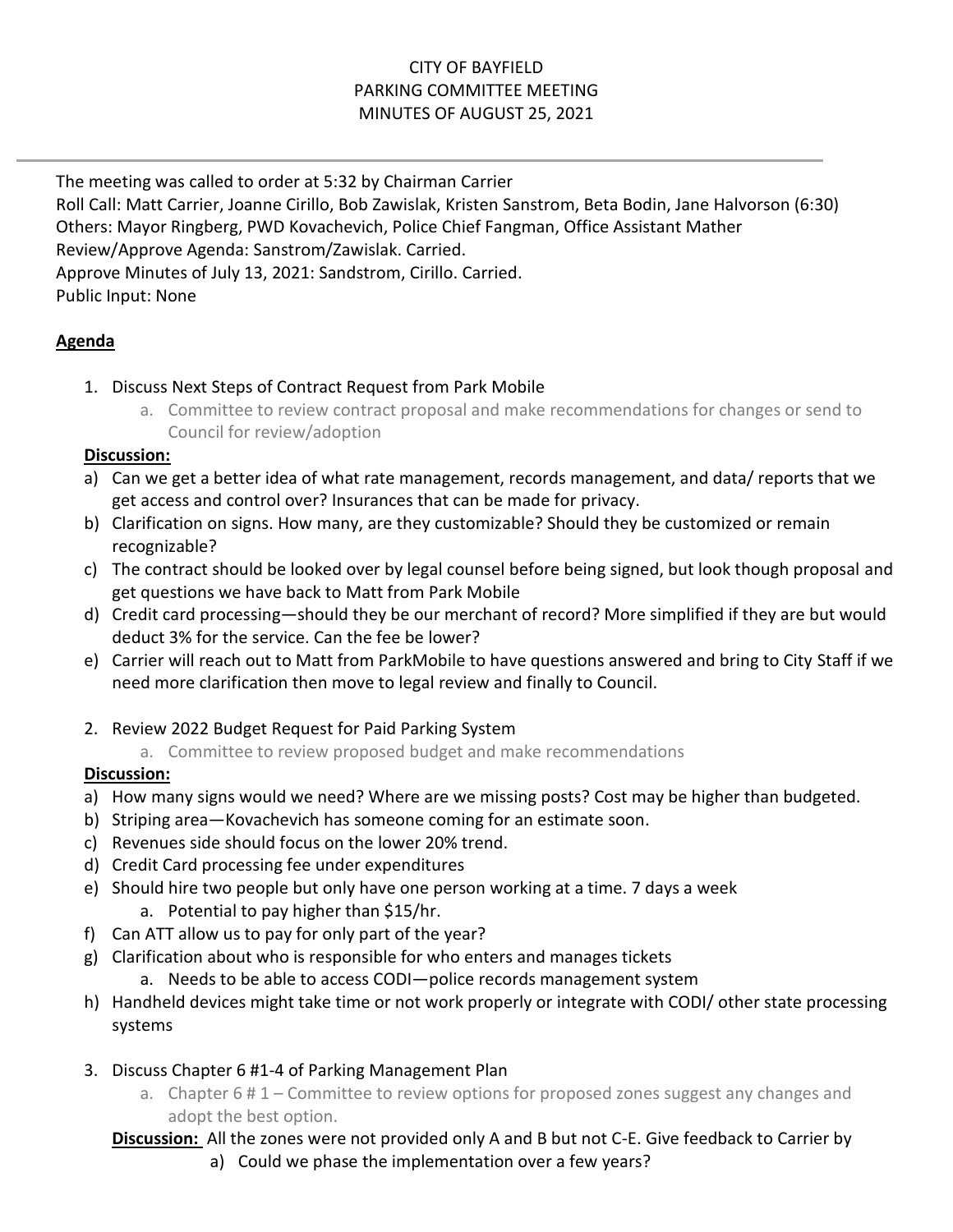# CITY OF BAYFIELD PARKING COMMITTEE MEETING MINUTES OF AUGUST 25, 2021

The meeting was called to order at 5:32 by Chairman Carrier Roll Call: Matt Carrier, Joanne Cirillo, Bob Zawislak, Kristen Sanstrom, Beta Bodin, Jane Halvorson (6:30) Others: Mayor Ringberg, PWD Kovachevich, Police Chief Fangman, Office Assistant Mather Review/Approve Agenda: Sanstrom/Zawislak. Carried. Approve Minutes of July 13, 2021: Sandstrom, Cirillo. Carried. Public Input: None

### **Agenda**

- 1. Discuss Next Steps of Contract Request from Park Mobile
	- a. Committee to review contract proposal and make recommendations for changes or send to Council for review/adoption

### **Discussion:**

- a) Can we get a better idea of what rate management, records management, and data/ reports that we get access and control over? Insurances that can be made for privacy.
- b) Clarification on signs. How many, are they customizable? Should they be customized or remain recognizable?
- c) The contract should be looked over by legal counsel before being signed, but look though proposal and get questions we have back to Matt from Park Mobile
- d) Credit card processing—should they be our merchant of record? More simplified if they are but would deduct 3% for the service. Can the fee be lower?
- e) Carrier will reach out to Matt from ParkMobile to have questions answered and bring to City Staff if we need more clarification then move to legal review and finally to Council.
- 2. Review 2022 Budget Request for Paid Parking System
	- a. Committee to review proposed budget and make recommendations

# **Discussion:**

- a) How many signs would we need? Where are we missing posts? Cost may be higher than budgeted.
- b) Striping area—Kovachevich has someone coming for an estimate soon.
- c) Revenues side should focus on the lower 20% trend.
- d) Credit Card processing fee under expenditures
- e) Should hire two people but only have one person working at a time. 7 days a week
	- a. Potential to pay higher than \$15/hr.
- f) Can ATT allow us to pay for only part of the year?
- g) Clarification about who is responsible for who enters and manages tickets
	- a. Needs to be able to access CODI—police records management system
- h) Handheld devices might take time or not work properly or integrate with CODI/ other state processing systems
- 3. Discuss Chapter 6 #1-4 of Parking Management Plan
	- a. Chapter  $6 \# 1$  Committee to review options for proposed zones suggest any changes and adopt the best option.
	- **Discussion:** All the zones were not provided only A and B but not C-E. Give feedback to Carrier by
		- a) Could we phase the implementation over a few years?